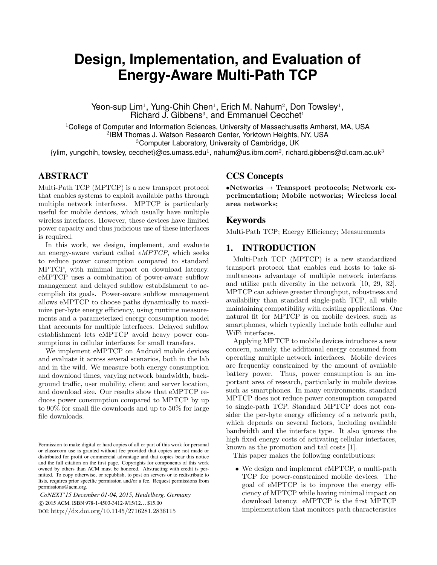# **Design, Implementation, and Evaluation of Energy-Aware Multi-Path TCP**

Yeon-sup Lim<sup>1</sup>, Yung-Chih Chen<sup>1</sup>, Erich M. Nahum<sup>2</sup>, Don Towsley<sup>1</sup>, Richard J. Gibbens<sup>3</sup>, and Emmanuel Cecchet<sup>1</sup>

 $1$ College of Computer and Information Sciences, University of Massachusetts Amherst, MA, USA 2 IBM Thomas J. Watson Research Center, Yorktown Heights, NY, USA <sup>3</sup>Computer Laboratory, University of Cambridge, UK

{ylim, yungchih, towsley, cecchet}@cs.umass.edu $^1$ , nahum@us.ibm.com $^2$ , richard.gibbens@cl.cam.ac.uk $^3$ 

# ABSTRACT

Multi-Path TCP (MPTCP) is a new transport protocol that enables systems to exploit available paths through multiple network interfaces. MPTCP is particularly useful for mobile devices, which usually have multiple wireless interfaces. However, these devices have limited power capacity and thus judicious use of these interfaces is required.

In this work, we design, implement, and evaluate an energy-aware variant called *eMPTCP*, which seeks to reduce power consumption compared to standard MPTCP, with minimal impact on download latency. eMPTCP uses a combination of power-aware subflow management and delayed subflow establishment to accomplish its goals. Power-aware subflow management allows eMPTCP to choose paths dynamically to maximize per-byte energy efficiency, using runtime measurements and a parameterized energy consumption model that accounts for multiple interfaces. Delayed subflow establishment lets eMPTCP avoid heavy power consumptions in cellular interfaces for small transfers.

We implement eMPTCP on Android mobile devices and evaluate it across several scenarios, both in the lab and in the wild. We measure both energy consumption and download times, varying network bandwidth, background traffic, user mobility, client and server location, and download size. Our results show that eMPTCP reduces power consumption compared to MPTCP by up to 90% for small file downloads and up to 50% for large file downloads.

*CoNEXT'15 December 01-04, 2015, Heidelberg, Germany* c 2015 ACM. ISBN 978-1-4503-3412-9/15/12. . . \$15.00 DOI: http://dx.doi.org/10.1145/2716281.2836115

# CCS Concepts

*•***Networks** *→* **Transport protocols; Network experimentation; Mobile networks; Wireless local area networks;**

#### Keywords

Multi-Path TCP; Energy Efficiency; Measurements

# 1. INTRODUCTION

Multi-Path TCP (MPTCP) is a new standardized transport protocol that enables end hosts to take simultaneous advantage of multiple network interfaces and utilize path diversity in the network [10, 29, 32]. MPTCP can achieve greater throughput, robustness and availability than standard single-path TCP, all while maintaining compatibility with existing applications. One natural fit for MPTCP is on mobile devices, such as smartphones, which typically include both cellular and WiFi interfaces.

Applying MPTCP to mobile devices introduces a new concern, namely, the additional energy consumed from operating multiple network interfaces. Mobile devices are frequently constrained by the amount of available battery power. Thus, power consumption is an important area of research, particularly in mobile devices such as smartphones. In many environments, standard MPTCP does not reduce power consumption compared to single-path TCP. Standard MPTCP does not consider the per-byte energy efficiency of a network path, which depends on several factors, including available bandwidth and the interface type. It also ignores the high fixed energy costs of activating cellular interfaces, known as the promotion and tail costs [1].

This paper makes the following contributions:

• We design and implement eMPTCP, a multi-path TCP for power-constrained mobile devices. The goal of eMPTCP is to improve the energy efficiency of MPTCP while having minimal impact on download latency. eMPTCP is the first MPTCP implementation that monitors path characteristics

Permission to make digital or hard copies of all or part of this work for personal or classroom use is granted without fee provided that copies are not made or distributed for profit or commercial advantage and that copies bear this notice and the full citation on the first page. Copyrights for components of this work owned by others than ACM must be honored. Abstracting with credit is permitted. To copy otherwise, or republish, to post on servers or to redistribute to lists, requires prior specific permission and/or a fee. Request permissions from permissions@acm.org.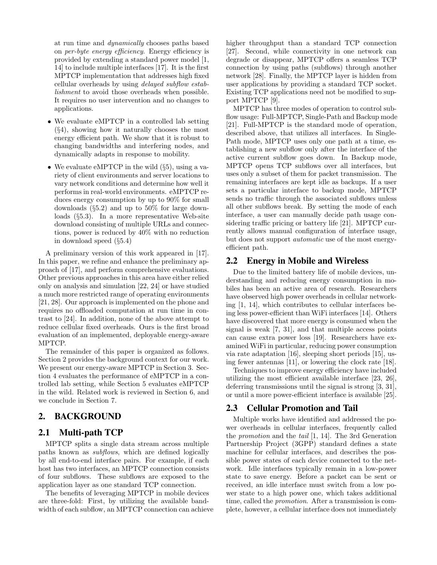at run time and *dynamically* chooses paths based on *per-byte energy efficiency*. Energy efficiency is provided by extending a standard power model [1, 14] to include multiple interfaces [17]. It is the first MPTCP implementation that addresses high fixed cellular overheads by using *delayed subflow establishment* to avoid those overheads when possible. It requires no user intervention and no changes to applications.

- We evaluate eMPTCP in a controlled lab setting (*§*4), showing how it naturally chooses the most energy efficient path. We show that it is robust to changing bandwidths and interfering nodes, and dynamically adapts in response to mobility.
- *•* We evaluate eMPTCP in the wild (*§*5), using a variety of client environments and server locations to vary network conditions and determine how well it performs in real-world environments. eMPTCP reduces energy consumption by up to 90% for small downloads (*§*5.2) and up to 50% for large downloads (*§*5.3). In a more representative Web-site download consisting of multiple URLs and connections, power is reduced by 40% with no reduction in download speed (*§*5.4)

A preliminary version of this work appeared in [17]. In this paper, we refine and enhance the preliminary approach of [17], and perform comprehensive evaluations. Other previous approaches in this area have either relied only on analysis and simulation [22, 24] or have studied a much more restricted range of operating environments [21, 28]. Our approach is implemented on the phone and requires no offloaded computation at run time in contrast to [24]. In addition, none of the above attempt to reduce cellular fixed overheads. Ours is the first broad evaluation of an implemented, deployable energy-aware MPTCP.

The remainder of this paper is organized as follows. Section 2 provides the background context for our work. We present our energy-aware MPTCP in Section 3. Section 4 evaluates the performance of eMPTCP in a controlled lab setting, while Section 5 evaluates eMPTCP in the wild. Related work is reviewed in Section 6, and we conclude in Section 7.

# 2. BACKGROUND

# 2.1 Multi-path TCP

MPTCP splits a single data stream across multiple paths known as *subflows*, which are defined logically by all end-to-end interface pairs. For example, if each host has two interfaces, an MPTCP connection consists of four subflows. These subflows are exposed to the application layer as one standard TCP connection.

The benefits of leveraging MPTCP in mobile devices are three-fold: First, by utilizing the available bandwidth of each subflow, an MPTCP connection can achieve higher throughput than a standard TCP connection [27]. Second, while connectivity in one network can degrade or disappear, MPTCP offers a seamless TCP connection by using paths (subflows) through another network [28]. Finally, the MPTCP layer is hidden from user applications by providing a standard TCP socket. Existing TCP applications need not be modified to support MPTCP [9].

MPTCP has three modes of operation to control subflow usage: Full-MPTCP, Single-Path and Backup mode [21]. Full-MPTCP is the standard mode of operation, described above, that utilizes all interfaces. In Single-Path mode, MPTCP uses only one path at a time, establishing a new subflow only after the interface of the active current subflow goes down. In Backup mode, MPTCP opens TCP subflows over all interfaces, but uses only a subset of them for packet transmission. The remaining interfaces are kept idle as backups. If a user sets a particular interface to backup mode, MPTCP sends no traffic through the associated subflows unless all other subflows break. By setting the mode of each interface, a user can manually decide path usage considering traffic pricing or battery life [21]. MPTCP currently allows manual configuration of interface usage, but does not support *automatic* use of the most energyefficient path.

# 2.2 Energy in Mobile and Wireless

Due to the limited battery life of mobile devices, understanding and reducing energy consumption in mobiles has been an active area of research. Researchers have observed high power overheads in cellular networking [1, 14], which contributes to cellular interfaces being less power-efficient than WiFi interfaces [14]. Others have discovered that more energy is consumed when the signal is weak [7, 31], and that multiple access points can cause extra power loss [19]. Researchers have examined WiFi in particular, reducing power consumption via rate adaptation [16], sleeping short periods [15], using fewer antennas [11], or lowering the clock rate [18].

Techniques to improve energy efficiency have included utilizing the most efficient available interface [23, 26], deferring transmissions until the signal is strong [3, 31], or until a more power-efficient interface is available [25].

# 2.3 Cellular Promotion and Tail

Multiple works have identified and addressed the power overheads in cellular interfaces, frequently called the *promotion* and the *tail* [1, 14]. The 3rd Generation Partnership Project (3GPP) standard defines a state machine for cellular interfaces, and describes the possible power states of each device connected to the network. Idle interfaces typically remain in a low-power state to save energy. Before a packet can be sent or received, an idle interface must switch from a low power state to a high power one, which takes additional time, called the *promotion*. After a transmission is complete, however, a cellular interface does not immediately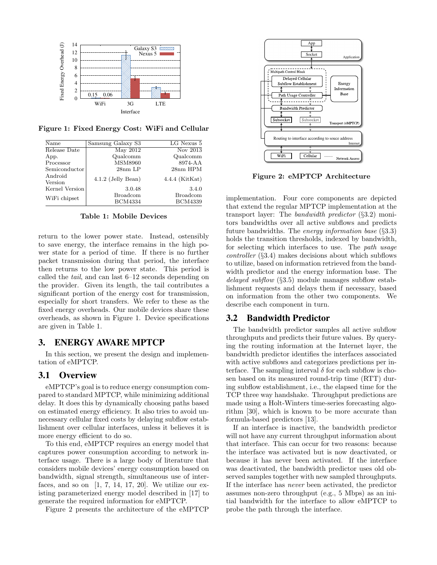

**Figure 1: Fixed Energy Cost: WiFi and Cellular**

| Name               | Samsung Galaxy S3    | LG Nexus 5       |
|--------------------|----------------------|------------------|
| Release Date       | May 2012             | Nov 2013         |
| App.               | Qualcomm             | Qualcomm         |
| Processor          | <b>MSM8960</b>       | 8974-AA          |
| Semiconductor      | $28nm$ LP            | 28nm HPM         |
| Android<br>Version | $4.1.2$ (Jelly Bean) | $4.4.4$ (KitKat) |
| Kernel Version     | 3.0.48               | 3.4.0            |
| WiFi chipset       | <b>Broadcom</b>      | <b>Broadcom</b>  |
|                    | <b>BCM4334</b>       | <b>BCM4339</b>   |

**Table 1: Mobile Devices**

return to the lower power state. Instead, ostensibly to save energy, the interface remains in the high power state for a period of time. If there is no further packet transmission during that period, the interface then returns to the low power state. This period is called the *tail*, and can last 6–12 seconds depending on the provider. Given its length, the tail contributes a significant portion of the energy cost for transmission, especially for short transfers. We refer to these as the fixed energy overheads. Our mobile devices share these overheads, as shown in Figure 1. Device specifications are given in Table 1.

## 3. ENERGY AWARE MPTCP

In this section, we present the design and implementation of eMPTCP.

#### 3.1 Overview

eMPTCP's goal is to reduce energy consumption compared to standard MPTCP, while minimizing additional delay. It does this by dynamically choosing paths based on estimated energy efficiency. It also tries to avoid unnecessary cellular fixed costs by delaying subflow establishment over cellular interfaces, unless it believes it is more energy efficient to do so.

To this end, eMPTCP requires an energy model that captures power consumption according to network interface usage. There is a large body of literature that considers mobile devices' energy consumption based on bandwidth, signal strength, simultaneous use of interfaces, and so on  $[1, 7, 14, 17, 20]$ . We utilize our existing parameterized energy model described in [17] to generate the required information for eMPTCP.

Figure 2 presents the architecture of the eMPTCP



**Figure 2: eMPTCP Architecture**

implementation. Four core components are depicted that extend the regular MPTCP implementation at the transport layer: The *bandwidth predictor* (*§*3.2) monitors bandwidths over all active subflows and predicts future bandwidths. The *energy information base* (*§*3.3) holds the transition thresholds, indexed by bandwidth, for selecting which interfaces to use. The *path usage controller* (*§*3.4) makes decisions about which subflows to utilize, based on information retrieved from the bandwidth predictor and the energy information base. The *delayed subflow* (*§*3.5) module manages subflow establishment requests and delays them if necessary, based on information from the other two components. We describe each component in turn.

#### 3.2 Bandwidth Predictor

The bandwidth predictor samples all active subflow throughputs and predicts their future values. By querying the routing information at the Internet layer, the bandwidth predictor identifies the interfaces associated with active subflows and categorizes predictions per interface. The sampling interval  $\delta$  for each subflow is chosen based on its measured round-trip time (RTT) during subflow establishment, i.e., the elapsed time for the TCP three way handshake. Throughput predictions are made using a Holt-Winters time-series forecasting algorithm [30], which is known to be more accurate than formula-based predictors [13].

If an interface is inactive, the bandwidth predictor will not have any current throughput information about that interface. This can occur for two reasons: because the interface was activated but is now deactivated, or because it has never been activated. If the interface was deactivated, the bandwidth predictor uses old observed samples together with new sampled throughputs. If the interface has *never* been activated, the predictor assumes non-zero throughput (e.g., 5 Mbps) as an initial bandwidth for the interface to allow eMPTCP to probe the path through the interface.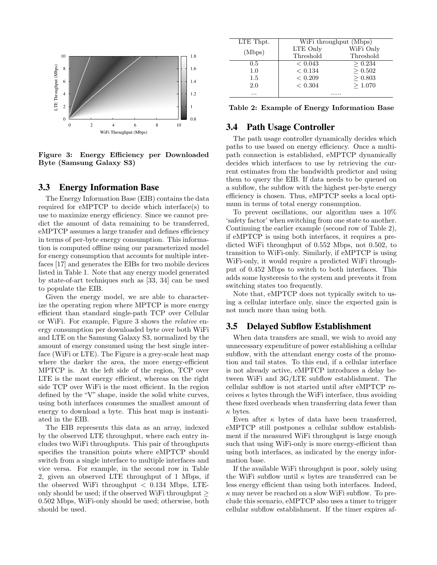

**Figure 3: Energy Efficiency per Downloaded Byte (Samsung Galaxy S3)**

## 3.3 Energy Information Base

The Energy Information Base (EIB) contains the data required for eMPTCP to decide which interface(s) to use to maximize energy efficiency. Since we cannot predict the amount of data remaining to be transferred, eMPTCP assumes a large transfer and defines efficiency in terms of per-byte energy consumption. This information is computed offline using our parameterized model for energy consumption that accounts for multiple interfaces [17] and generates the EIBs for two mobile devices listed in Table 1. Note that any energy model generated by state-of-art techniques such as [33, 34] can be used to populate the EIB.

Given the energy model, we are able to characterize the operating region where MPTCP is more energy efficient than standard single-path TCP over Cellular or WiFi. For example, Figure 3 shows the *relative* energy consumption per downloaded byte over both WiFi and LTE on the Samsung Galaxy S3, normalized by the amount of energy consumed using the best single interface (WiFi or LTE). The Figure is a grey-scale heat map where the darker the area, the more energy-efficient MPTCP is. At the left side of the region, TCP over LTE is the most energy efficient, whereas on the right side TCP over WiFi is the most efficient. In the region defined by the "V" shape, inside the solid white curves, using both interfaces consumes the smallest amount of energy to download a byte. This heat map is instantiated in the EIB.

The EIB represents this data as an array, indexed by the observed LTE throughput, where each entry includes two WiFi throughputs. This pair of throughputs specifies the transition points where eMPTCP should switch from a single interface to multiple interfaces and vice versa. For example, in the second row in Table 2, given an observed LTE throughput of 1 Mbps, if the observed WiFi throughput *<* 0.134 Mbps, LTEonly should be used; if the observed WiFi throughput *≥* 0.502 Mbps, WiFi-only should be used; otherwise, both should be used.

| LTE Thpt. | WiFi throughput (Mbps) |           |
|-----------|------------------------|-----------|
| (Mbps)    | LTE Only               | WiFi Only |
|           | Threshold              | Threshold |
| 0.5       | < 0.043                | > 0.234   |
| 1.0       | < 0.134                | > 0.502   |
| 1.5       | ${}< 0.209$            | > 0.803   |
| 2.0       | < 0.304                | >1.070    |
|           |                        |           |

**Table 2: Example of Energy Information Base**

#### 3.4 Path Usage Controller

The path usage controller dynamically decides which paths to use based on energy efficiency. Once a multipath connection is established, eMPTCP dynamically decides which interfaces to use by retrieving the current estimates from the bandwidth predictor and using them to query the EIB. If data needs to be queued on a subflow, the subflow with the highest per-byte energy efficiency is chosen. Thus, eMPTCP seeks a local optimum in terms of total energy consumption.

To prevent oscillations, our algorithm uses a 10% 'safety factor' when switching from one state to another. Continuing the earlier example (second row of Table 2), if eMPTCP is using both interfaces, it requires a predicted WiFi throughput of 0.552 Mbps, not 0.502, to transition to WiFi-only. Similarly, if eMPTCP is using WiFi-only, it would require a predicted WiFi throughput of 0.452 Mbps to switch to both interfaces. This adds some hysteresis to the system and prevents it from switching states too frequently.

Note that, eMPTCP does not typically switch to using a cellular interface only, since the expected gain is not much more than using both.

#### 3.5 Delayed Subflow Establishment

When data transfers are small, we wish to avoid any unnecessary expenditure of power establishing a cellular subflow, with the attendant energy costs of the promotion and tail states. To this end, if a cellular interface is not already active, eMPTCP introduces a delay between WiFi and 3G/LTE subflow establishment. The cellular subflow is not started until after eMPTCP receives  $\kappa$  bytes through the WiFi interface, thus avoiding these fixed overheads when transferring data fewer than *κ* bytes.

Even after  $\kappa$  bytes of data have been transferred, eMPTCP still postpones a cellular subflow establishment if the measured WiFi throughput is large enough such that using WiFi-only is more energy-efficient than using both interfaces, as indicated by the energy information base.

If the available WiFi throughput is poor, solely using the WiFi subflow until *κ* bytes are transferred can be less energy efficient than using both interfaces. Indeed, *κ* may never be reached on a slow WiFi subflow. To preclude this scenario, eMPTCP also uses a timer to trigger cellular subflow establishment. If the timer expires af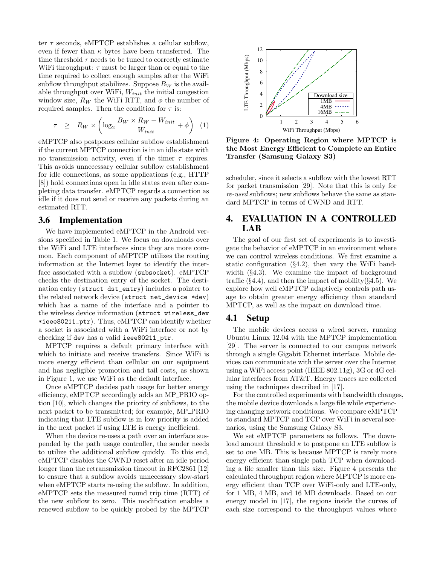ter *τ* seconds, eMPTCP establishes a cellular subflow, even if fewer than  $\kappa$  bytes have been transferred. The time threshold  $\tau$  needs to be tuned to correctly estimate WiFi throughput:  $\tau$  must be larger than or equal to the time required to collect enough samples after the WiFi subflow throughput stabilizes. Suppose  $B_W$  is the available throughput over WiFi, *Winit* the initial congestion window size,  $R_W$  the WiFi RTT, and  $\phi$  the number of required samples. Then the condition for  $\tau$  is:

$$
\tau \ge R_W \times \left(\log_2 \frac{B_W \times R_W + W_{init}}{W_{init}} + \phi\right) \tag{1}
$$

eMPTCP also postpones cellular subflow establishment if the current MPTCP connection is in an idle state with no transmission activity, even if the timer *τ* expires. This avoids unnecessary cellular subflow establishment for idle connections, as some applications (e.g., HTTP [8]) hold connections open in idle states even after completing data transfer. eMPTCP regards a connection as idle if it does not send or receive any packets during an estimated RTT.

#### 3.6 Implementation

We have implemented eMPTCP in the Android versions specified in Table 1. We focus on downloads over the WiFi and LTE interfaces since they are more common. Each component of eMPTCP utilizes the routing information at the Internet layer to identify the interface associated with a subflow (subsocket). eMPTCP checks the destination entry of the socket. The destination entry (struct dst\_entry) includes a pointer to the related network device (struct net\_device \*dev) which has a name of the interface and a pointer to the wireless device information (struct wireless\_dev \*ieee80211\_ptr). Thus, eMPTCP can identify whether a socket is associated with a WiFi interface or not by checking if dev has a valid ieee80211\_ptr.  $\tau \geq R_W \times \left(\log_2 \frac{B_W \times R_W + W_{init}}{W_{init}} + \phi\right)$  (1)<br>
WMPTCP also postpones cellular subflow establishment<br> **Figure 4:**  $\theta$ <br>
WMPTCP connection is in an identicate with<br>
the Correction establishment (**Figure 4:** organism) and t

MPTCP requires a default primary interface with which to initiate and receive transfers. Since WiFi is more energy efficient than cellular on our equipment and has negligible promotion and tail costs, as shown in Figure 1, we use WiFi as the default interface.

Once eMPTCP decides path usage for better energy efficiency, eMPTCP accordingly adds an MP PRIO option [10], which changes the priority of subflows, to the next packet to be transmitted; for example, MP PRIO indicating that LTE subflow is in low priority is added in the next packet if using LTE is energy inefficient.

When the device re-uses a path over an interface suspended by the path usage controller, the sender needs to utilize the additional subflow quickly. To this end, eMPTCP disables the CWND reset after an idle period longer than the retransmission timeout in RFC2861 [12] to ensure that a subflow avoids unnecessary slow-start when eMPTCP starts re-using the subflow. In addition, eMPTCP sets the measured round trip time (RTT) of the new subflow to zero. This modification enables a



**Figure 4: Operating Region where MPTCP is the Most Energy Efficient to Complete an Entire Transfer (Samsung Galaxy S3)**

scheduler, since it selects a subflow with the lowest RTT for packet transmission [29]. Note that this is only for *re-used* subflows; new subflows behave the same as standard MPTCP in terms of CWND and RTT.

# 4. EVALUATION IN A CONTROLLED LAB

The goal of our first set of experiments is to investigate the behavior of eMPTCP in an environment where we can control wireless conditions. We first examine a static configuration (*§*4.2), then vary the WiFi bandwidth (*§*4.3). We examine the impact of background traffic (*§*4.4), and then the impact of mobility(*§*4.5). We explore how well eMPTCP adaptively controls path usage to obtain greater energy efficiency than standard MPTCP, as well as the impact on download time.

## 4.1 Setup

The mobile devices access a wired server, running Ubuntu Linux 12.04 with the MPTCP implementation [29]. The server is connected to our campus network through a single Gigabit Ethernet interface. Mobile devices can communicate with the server over the Internet using a WiFi access point (IEEE 802.11g), 3G or 4G cellular interfaces from AT&T. Energy traces are collected using the techniques described in [17].

For the controlled experiments with bandwidth changes, the mobile device downloads a large file while experiencing changing network conditions. We compare eMPTCP to standard MPTCP and TCP over WiFi in several scenarios, using the Samsung Galaxy S3.

We set eMPTCP parameters as follows. The download amount threshold  $\kappa$  to postpone an LTE subflow is set to one MB. This is because MPTCP is rarely more energy efficient than single path TCP when downloading a file smaller than this size. Figure 4 presents the calculated throughput region where MPTCP is more energy efficient than TCP over WiFi-only and LTE-only, for 1 MB, 4 MB, and 16 MB downloads. Based on our energy model in [17], the regions inside the curves of each size correspond to the throughput values where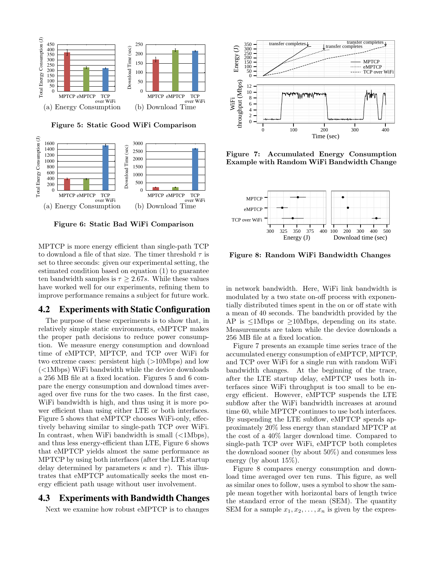

**Figure 5: Static Good WiFi Comparison**



**Figure 6: Static Bad WiFi Comparison**

MPTCP is more energy efficient than single-path TCP to download a file of that size. The timer threshold  $\tau$  is set to three seconds: given our experimental setting, the estimated condition based on equation (1) to guarantee ten bandwidth samples is  $\tau \geq 2.67s$ . While these values have worked well for our experiments, refining them to improve performance remains a subject for future work.

## 4.2 Experiments with Static Configuration

The purpose of these experiments is to show that, in relatively simple static environments, eMPTCP makes the proper path decisions to reduce power consumption. We measure energy consumption and download time of eMPTCP, MPTCP, and TCP over WiFi for two extreme cases: persistent high (*>*10Mbps) and low (*<*1Mbps) WiFi bandwidth while the device downloads a 256 MB file at a fixed location. Figures 5 and 6 compare the energy consumption and download times averaged over five runs for the two cases. In the first case, WiFi bandwidth is high, and thus using it is more power efficient than using either LTE or both interfaces. Figure 5 shows that eMPTCP chooses WiFi-only, effectively behaving similar to single-path TCP over WiFi. In contrast, when WiFi bandwidth is small (*<*1Mbps), and thus less energy-efficient than LTE, Figure 6 shows that eMPTCP yields almost the same performance as MPTCP by using both interfaces (after the LTE startup delay determined by parameters  $\kappa$  and  $\tau$ ). This illustrates that eMPTCP automatically seeks the most energy efficient path usage without user involvement.

# 4.3 Experiments with Bandwidth Changes

Next we examine how robust eMPTCP is to changes



**Figure 7: Accumulated Energy Consumption Example with Random WiFi Bandwidth Change**



**Figure 8: Random WiFi Bandwidth Changes**

in network bandwidth. Here, WiFi link bandwidth is modulated by a two state on-off process with exponentially distributed times spent in the on or off state with a mean of 40 seconds. The bandwidth provided by the AP is *≤*1Mbps or *≥*10Mbps, depending on its state. Measurements are taken while the device downloads a 256 MB file at a fixed location.

Figure 7 presents an example time series trace of the accumulated energy consumption of eMPTCP, MPTCP, and TCP over WiFi for a single run with random WiFi bandwidth changes. At the beginning of the trace, after the LTE startup delay, eMPTCP uses both interfaces since WiFi throughput is too small to be energy efficient. However, eMPTCP suspends the LTE subflow after the WiFi bandwidth increases at around time 60, while MPTCP continues to use both interfaces. By suspending the LTE subflow, eMPTCP spends approximately 20% less energy than standard MPTCP at the cost of a 40% larger download time. Compared to single-path TCP over WiFi, eMPTCP both completes the download sooner (by about 50%) and consumes less energy (by about 15%).

Figure 8 compares energy consumption and download time averaged over ten runs. This figure, as well as similar ones to follow, uses a symbol to show the sample mean together with horizontal bars of length twice the standard error of the mean (SEM). The quantity SEM for a sample  $x_1, x_2, \ldots, x_n$  is given by the expres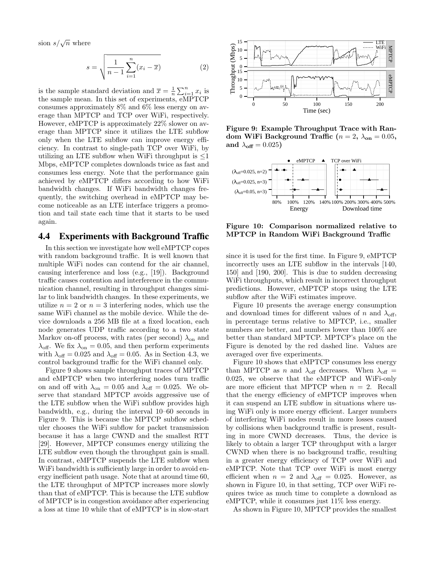sion  $s/\sqrt{n}$  where

$$
s = \sqrt{\frac{1}{n-1} \sum_{i=1}^{n} (x_i - \overline{x})}
$$
 (2)

is the sample standard deviation and  $\bar{x} = \frac{1}{n} \sum_{i=1}^{n} x_i$  is the sample mean. In this set of experiments, eMPTCP consumes approximately 8% and 6% less energy on average than MPTCP and TCP over WiFi, respectively. However, eMPTCP is approximately 22% slower on average than MPTCP since it utilizes the LTE subflow only when the LTE subflow can improve energy efficiency. In contrast to single-path TCP over WiFi, by utilizing an LTE subflow when WiFi throughput is *≤*1 Mbps, eMPTCP completes downloads twice as fast and consumes less energy. Note that the performance gain achieved by eMPTCP differs according to how WiFi bandwidth changes. If WiFi bandwidth changes frequently, the switching overhead in eMPTCP may become noticeable as an LTE interface triggers a promotion and tail state each time that it starts to be used again.

#### 4.4 Experiments with Background Traffic

In this section we investigate how well eMPTCP copes with random background traffic. It is well known that multiple WiFi nodes can contend for the air channel, causing interference and loss (e.g., [19]). Background traffic causes contention and interference in the communication channel, resulting in throughput changes similar to link bandwidth changes. In these experiments, we utilize  $n = 2$  or  $n = 3$  interfering nodes, which use the same WiFi channel as the mobile device. While the device downloads a 256 MB file at a fixed location, each node generates UDP traffic according to a two state Markov on-off process, with rates (per second)  $\lambda_{on}$  and  $\lambda_{\text{off}}$ . We fix  $\lambda_{\text{on}} = 0.05$ , and then perform experiments with  $\lambda_{\text{off}} = 0.025$  and  $\lambda_{\text{off}} = 0.05$ . As in Section 4.3, we control background traffic for the WiFi channel only.

Figure 9 shows sample throughput traces of MPTCP and eMPTCP when two interfering nodes turn traffic on and off with  $\lambda_{on} = 0.05$  and  $\lambda_{off} = 0.025$ . We observe that standard MPTCP avoids aggressive use of the LTE subflow when the WiFi subflow provides high bandwidth, e.g., during the interval 10–60 seconds in Figure 9. This is because the MPTCP subflow scheduler chooses the WiFi subflow for packet transmission because it has a large CWND and the smallest RTT [29]. However, MPTCP consumes energy utilizing the LTE subflow even though the throughput gain is small. In contrast, eMPTCP suspends the LTE subflow when WiFi bandwidth is sufficiently large in order to avoid energy inefficient path usage. Note that at around time 60, the LTE throughput of MPTCP increases more slowly than that of eMPTCP. This is because the LTE subflow of MPTCP is in congestion avoidance after experiencing a loss at time 10 while that of eMPTCP is in slow-start



**Figure 9: Example Throughput Trace with Random WiFi Background Traffic (** $n = 2$ ,  $\lambda_{on} = 0.05$ , and  $\lambda_{\text{off}} = 0.025$ )



**Figure 10: Comparison normalized relative to MPTCP in Random WiFi Background Traffic**

since it is used for the first time. In Figure 9, eMPTCP incorrectly uses an LTE subflow in the intervals [140, 150] and [190, 200]. This is due to sudden decreasing WiFi throughputs, which result in incorrect throughput predictions. However, eMPTCP stops using the LTE subflow after the WiFi estimates improve.

Figure 10 presents the average energy consumption and download times for different values of *n* and  $\lambda_{\text{off}}$ , in percentage terms relative to MPTCP, i.e., smaller numbers are better, and numbers lower than 100% are better than standard MPTCP. MPTCP's place on the Figure is denoted by the red dashed line. Values are averaged over five experiments.

Figure 10 shows that eMPTCP consumes less energy than MPTCP as *n* and  $\lambda_{\text{off}}$  decreases. When  $\lambda_{\text{off}}$  = 0*.*025, we observe that the eMPTCP and WiFi-only are more efficient that MPTCP when  $n = 2$ . Recall that the energy efficiency of eMPTCP improves when it can suspend an LTE subflow in situations where using WiFi only is more energy efficient. Larger numbers of interfering WiFi nodes result in more losses caused by collisions when background traffic is present, resulting in more CWND decreases. Thus, the device is likely to obtain a larger TCP throughput with a larger CWND when there is no background traffic, resulting in a greater energy efficiency of TCP over WiFi and eMPTCP. Note that TCP over WiFi is most energy efficient when  $n = 2$  and  $\lambda_{\text{off}} = 0.025$ . However, as shown in Figure 10, in that setting, TCP over WiFi requires twice as much time to complete a download as eMPTCP, while it consumes just 11% less energy.

As shown in Figure 10, MPTCP provides the smallest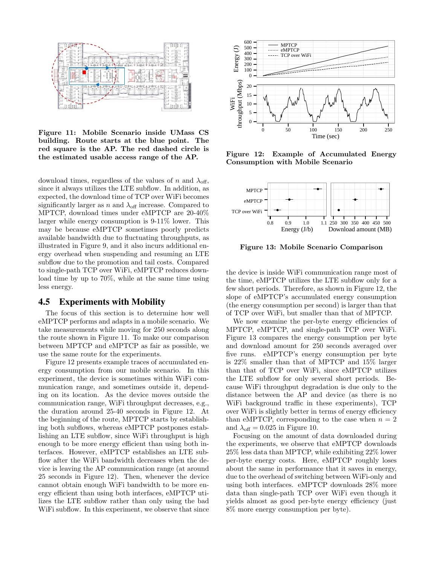

**Figure 11: Mobile Scenario inside UMass CS building. Route starts at the blue point. The red square is the AP. The red dashed circle is the estimated usable access range of the AP.**

download times, regardless of the values of *n* and  $\lambda_{\text{off}}$ , since it always utilizes the LTE subflow. In addition, as expected, the download time of TCP over WiFi becomes significantly larger as *n* and  $\lambda_{\text{off}}$  increase. Compared to MPTCP, download times under eMPTCP are 20-40% larger while energy consumption is 9-11% lower. This may be because eMPTCP sometimes poorly predicts available bandwidth due to fluctuating throughputs, as illustrated in Figure 9, and it also incurs additional energy overhead when suspending and resuming an LTE subflow due to the promotion and tail costs. Compared to single-path TCP over WiFi, eMPTCP reduces download time by up to 70%, while at the same time using less energy.

#### 4.5 Experiments with Mobility

The focus of this section is to determine how well eMPTCP performs and adapts in a mobile scenario. We take measurements while moving for 250 seconds along the route shown in Figure 11. To make our comparison between MPTCP and eMPTCP as fair as possible, we use the same route for the experiments.

Figure 12 presents example traces of accumulated energy consumption from our mobile scenario. In this experiment, the device is sometimes within WiFi communication range, and sometimes outside it, depending on its location. As the device moves outside the communication range, WiFi throughput decreases, e.g., the duration around 25-40 seconds in Figure 12. At the beginning of the route, MPTCP starts by establishing both subflows, whereas eMPTCP postpones establishing an LTE subflow, since WiFi throughput is high enough to be more energy efficient than using both interfaces. However, eMPTCP establishes an LTE subflow after the WiFi bandwidth decreases when the device is leaving the AP communication range (at around 25 seconds in Figure 12). Then, whenever the device cannot obtain enough WiFi bandwidth to be more energy efficient than using both interfaces, eMPTCP utilizes the LTE subflow rather than only using the bad WiFi subflow. In this experiment, we observe that since



**Figure 12: Example of Accumulated Energy Consumption with Mobile Scenario**



**Figure 13: Mobile Scenario Comparison**

the device is inside WiFi communication range most of the time, eMPTCP utilizes the LTE subflow only for a few short periods. Therefore, as shown in Figure 12, the slope of eMPTCP's accumulated energy consumption (the energy consumption per second) is larger than that of TCP over WiFi, but smaller than that of MPTCP.

We now examine the per-byte energy efficiencies of MPTCP, eMPTCP, and single-path TCP over WiFi. Figure 13 compares the energy consumption per byte and download amount for 250 seconds averaged over five runs. eMPTCP's energy consumption per byte is 22% smaller than that of MPTCP and 15% larger than that of TCP over WiFi, since eMPTCP utilizes the LTE subflow for only several short periods. Because WiFi throughput degradation is due only to the distance between the AP and device (as there is no WiFi background traffic in these experiments), TCP over WiFi is slightly better in terms of energy efficiency than eMPTCP, corresponding to the case when  $n = 2$ and  $\lambda_{\text{off}} = 0.025$  in Figure 10.

Focusing on the amount of data downloaded during the experiments, we observe that eMPTCP downloads 25% less data than MPTCP, while exhibiting 22% lower per-byte energy costs. Here, eMPTCP roughly loses about the same in performance that it saves in energy, due to the overhead of switching between WiFi-only and using both interfaces. eMPTCP downloads 28% more data than single-path TCP over WiFi even though it yields almost as good per-byte energy efficiency (just 8% more energy consumption per byte).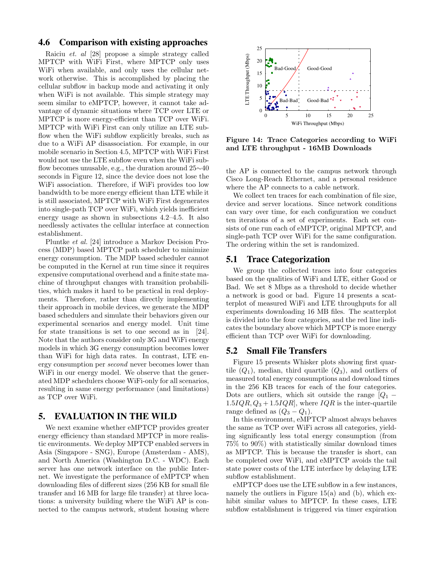## 4.6 Comparison with existing approaches

Raiciu *et. al* [28] propose a simple strategy called MPTCP with WiFi First, where MPTCP only uses WiFi when available, and only uses the cellular network otherwise. This is accomplished by placing the cellular subflow in backup mode and activating it only when WiFi is not available. This simple strategy may seem similar to eMPTCP, however, it cannot take advantage of dynamic situations where TCP over LTE or MPTCP is more energy-efficient than TCP over WiFi. MPTCP with WiFi First can only utilize an LTE subflow when the WiFi subflow explicitly breaks, such as due to a WiFi AP disassociation. For example, in our mobile scenario in Section 4.5, MPTCP with WiFi First would not use the LTE subflow even when the WiFi subflow becomes unusable, e.g., the duration around 25*∼*40 seconds in Figure 12, since the device does not lose the WiFi association. Therefore, if WiFi provides too low bandwidth to be more energy efficient than LTE while it is still associated, MPTCP with WiFi First degenerates into single-path TCP over WiFi, which yields inefficient energy usage as shown in subsections 4.2–4.5. It also needlessly activates the cellular interface at connection establishment.

Pluntke *et al.* [24] introduce a Markov Decision Process (MDP) based MPTCP path scheduler to minimize energy consumption. The MDP based scheduler cannot be computed in the Kernel at run time since it requires expensive computational overhead and a finite state machine of throughput changes with transition probabilities, which makes it hard to be practical in real deployments. Therefore, rather than directly implementing their approach in mobile devices, we generate the MDP based schedulers and simulate their behaviors given our experimental scenarios and energy model. Unit time for state transitions is set to one second as in [24]. Note that the authors consider only 3G and WiFi energy models in which 3G energy consumption becomes lower than WiFi for high data rates. In contrast, LTE energy consumption per *second* never becomes lower than WiFi in our energy model. We observe that the generated MDP schedulers choose WiFi-only for all scenarios, resulting in same energy performance (and limitations) as TCP over WiFi.

## 5. EVALUATION IN THE WILD

We next examine whether eMPTCP provides greater energy efficiency than standard MPTCP in more realistic environments. We deploy MPTCP enabled servers in Asia (Singapore - SNG), Europe (Amsterdam - AMS), and North America (Washington D.C. - WDC). Each server has one network interface on the public Internet. We investigate the performance of eMPTCP when downloading files of different sizes (256 KB for small file transfer and 16 MB for large file transfer) at three locations: a university building where the WiFi AP is connected to the campus network, student housing where



**Figure 14: Trace Categories according to WiFi and LTE throughput - 16MB Downloads**

the AP is connected to the campus network through Cisco Long-Reach Ethernet, and a personal residence where the AP connects to a cable network.

We collect ten traces for each combination of file size, device and server locations. Since network conditions can vary over time, for each configuration we conduct ten iterations of a set of experiments. Each set consists of one run each of eMPTCP, original MPTCP, and single-path TCP over WiFi for the same configuration. The ordering within the set is randomized.

#### 5.1 Trace Categorization

We group the collected traces into four categories based on the qualities of WiFi and LTE, either Good or Bad. We set 8 Mbps as a threshold to decide whether a network is good or bad. Figure 14 presents a scatterplot of measured WiFi and LTE throughputs for all experiments downloading 16 MB files. The scatterplot is divided into the four categories, and the red line indicates the boundary above which MPTCP is more energy efficient than TCP over WiFi for downloading.

#### 5.2 Small File Transfers

Figure 15 presents Whisker plots showing first quartile  $(Q_1)$ , median, third quartile  $(Q_3)$ , and outliers of measured total energy consumptions and download times in the 256 KB traces for each of the four categories. Dots are outliers, which sit outside the range [*Q*<sup>1</sup> *−*  $1.5IQR, Q_3 + 1.5IQR$ , where  $IQR$  is the inter-quartile range defined as  $(Q_3 - Q_1)$ .

In this environment, eMPTCP almost always behaves the same as TCP over WiFi across all categories, yielding significantly less total energy consumption (from 75% to 90%) with statistically similar download times as MPTCP. This is because the transfer is short, can be completed over WiFi, and eMPTCP avoids the tail state power costs of the LTE interface by delaying LTE subflow establishment.

eMPTCP does use the LTE subflow in a few instances, namely the outliers in Figure  $15(a)$  and (b), which exhibit similar values to MPTCP. In these cases, LTE subflow establishment is triggered via timer expiration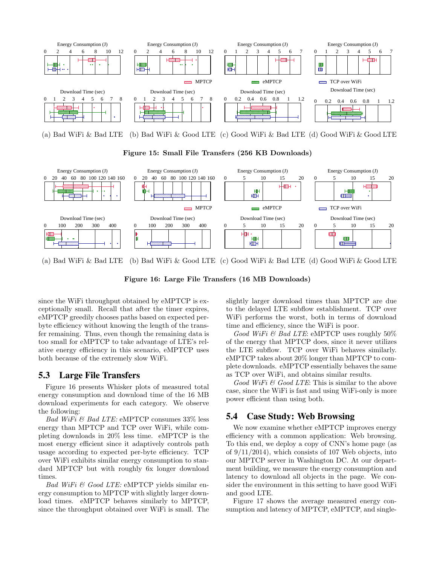

(b) Bad WiFi & Good LTE (c) Good WiFi & Bad LTE (d) Good WiFi & Good LTE

**Figure 15: Small File Transfers (256 KB Downloads)**



(b) Bad WiFi & Good LTE (c) Good WiFi & Bad LTE (d) Good WiFi & Good LTE

**Figure 16: Large File Transfers (16 MB Downloads)**

since the WiFi throughput obtained by eMPTCP is exceptionally small. Recall that after the timer expires, eMPTCP greedily chooses paths based on expected perbyte efficiency without knowing the length of the transfer remaining. Thus, even though the remaining data is too small for eMPTCP to take advantage of LTE's relative energy efficiency in this scenario, eMPTCP uses both because of the extremely slow WiFi.

# 5.3 Large File Transfers

Figure 16 presents Whisker plots of measured total energy consumption and download time of the 16 MB download experiments for each category. We observe the following:

*Bad WiFi & Bad LTE:* eMPTCP consumes 33% less energy than MPTCP and TCP over WiFi, while completing downloads in 20% less time. eMPTCP is the most energy efficient since it adaptively controls path usage according to expected per-byte efficiency. TCP over WiFi exhibits similar energy consumption to standard MPTCP but with roughly 6x longer download times.

*Bad WiFi & Good LTE:* eMPTCP yields similar energy consumption to MPTCP with slightly larger download times. eMPTCP behaves similarly to MPTCP, since the throughput obtained over WiFi is small. The slightly larger download times than MPTCP are due to the delayed LTE subflow establishment. TCP over WiFi performs the worst, both in terms of download time and efficiency, since the WiFi is poor.

*Good WiFi & Bad LTE*: eMPTCP uses roughly 50% of the energy that MPTCP does, since it never utilizes the LTE subflow. TCP over WiFi behaves similarly. eMPTCP takes about 20% longer than MPTCP to complete downloads. eMPTCP essentially behaves the same as TCP over WiFi, and obtains similar results.

*Good WiFi & Good LTE*: This is similar to the above case, since the WiFi is fast and using WiFi-only is more power efficient than using both.

# 5.4 Case Study: Web Browsing

We now examine whether eMPTCP improves energy efficiency with a common application: Web browsing. To this end, we deploy a copy of CNN's home page (as of 9/11/2014), which consists of 107 Web objects, into our MPTCP server in Washington DC. At our department building, we measure the energy consumption and latency to download all objects in the page. We consider the environment in this setting to have good WiFi and good LTE.

Figure 17 shows the average measured energy consumption and latency of MPTCP, eMPTCP, and single-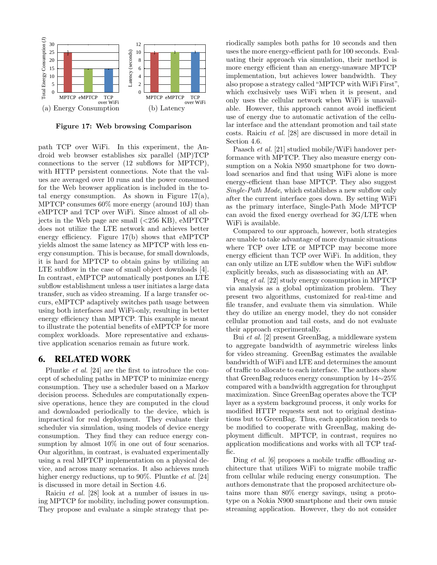

**Figure 17: Web browsing Comparison**

path TCP over WiFi. In this experiment, the Android web browser establishes six parallel (MP)TCP connections to the server (12 subflows for MPTCP), with HTTP persistent connections. Note that the values are averaged over 10 runs and the power consumed for the Web browser application is included in the total energy consumption. As shown in Figure  $17(a)$ , MPTCP consumes 60% more energy (around 10J) than eMPTCP and TCP over WiFi. Since almost of all objects in the Web page are small (*<*256 KB), eMPTCP does not utilize the LTE network and achieves better energy efficiency. Figure 17(b) shows that eMPTCP yields almost the same latency as MPTCP with less energy consumption. This is because, for small downloads, it is hard for MPTCP to obtain gains by utilizing an LTE subflow in the case of small object downloads [4]. In contrast, eMPTCP automatically postpones an LTE subflow establishment unless a user initiates a large data transfer, such as video streaming. If a large transfer occurs, eMPTCP adaptively switches path usage between using both interfaces and WiFi-only, resulting in better energy efficiency than MPTCP. This example is meant to illustrate the potential benefits of eMPTCP for more complex workloads. More representative and exhaustive application scenarios remain as future work.

#### 6. RELATED WORK

Pluntke *et al.* [24] are the first to introduce the concept of scheduling paths in MPTCP to minimize energy consumption. They use a scheduler based on a Markov decision process. Schedules are computationally expensive operations, hence they are computed in the cloud and downloaded periodically to the device, which is impractical for real deployment. They evaluate their scheduler via simulation, using models of device energy consumption. They find they can reduce energy consumption by almost 10% in one out of four scenarios. Our algorithm, in contrast, is evaluated experimentally using a real MPTCP implementation on a physical device, and across many scenarios. It also achieves much higher energy reductions, up to 90%. Pluntke *et al.* [24] is discussed in more detail in Section 4.6.

Raiciu *et al.* [28] look at a number of issues in using MPTCP for mobility, including power consumption. They propose and evaluate a simple strategy that periodically samples both paths for 10 seconds and then uses the more energy-efficient path for 100 seconds. Evaluating their approach via simulation, their method is more energy efficient than an energy-unaware MPTCP implementation, but achieves lower bandwidth. They also propose a strategy called"MPTCP with WiFi First", which exclusively uses WiFi when it is present, and only uses the cellular network when WiFi is unavailable. However, this approach cannot avoid inefficient use of energy due to automatic activation of the cellular interface and the attendant promotion and tail state costs. Raiciu *et al.* [28] are discussed in more detail in Section 4.6.

Paasch *et al.* [21] studied mobile/WiFi handover performance with MPTCP. They also measure energy consumption on a Nokia N950 smartphone for two download scenarios and find that using WiFi alone is more energy-efficient than base MPTCP. They also suggest *Single-Path Mode*, which establishes a new subflow only after the current interface goes down. By setting WiFi as the primary interface, Single-Path Mode MPTCP can avoid the fixed energy overhead for 3G/LTE when WiFi is available.

Compared to our approach, however, both strategies are unable to take advantage of more dynamic situations where TCP over LTE or MPTCP may become more energy efficient than TCP over WiFi. In addition, they can only utilize an LTE subflow when the WiFi subflow explicitly breaks, such as disassociating with an AP.

Peng *et al.* [22] study energy consumption in MPTCP via analysis as a global optimization problem. They present two algorithms, customized for real-time and file transfer, and evaluate them via simulation. While they do utilize an energy model, they do not consider cellular promotion and tail costs, and do not evaluate their approach experimentally.

Bui *et al.* [2] present GreenBag, a middleware system to aggregate bandwidth of asymmetric wireless links for video streaming. GreenBag estimates the available bandwidth of WiFi and LTE and determines the amount of traffic to allocate to each interface. The authors show that GreenBag reduces energy consumption by 14*∼*25% compared with a bandwidth aggregation for throughput maximization. Since GreenBag operates above the TCP layer as a system background process, it only works for modified HTTP requests sent not to original destinations but to GreenBag. Thus, each application needs to be modified to cooperate with GreenBag, making deployment difficult. MPTCP, in contrast, requires no application modifications and works with all TCP traffic.

Ding *et al.* [6] proposes a mobile traffic offloading architecture that utilizes WiFi to migrate mobile traffic from cellular while reducing energy consumption. The authors demonstrate that the proposed architecture obtains more than 80% energy savings, using a prototype on a Nokia N900 smartphone and their own music streaming application. However, they do not consider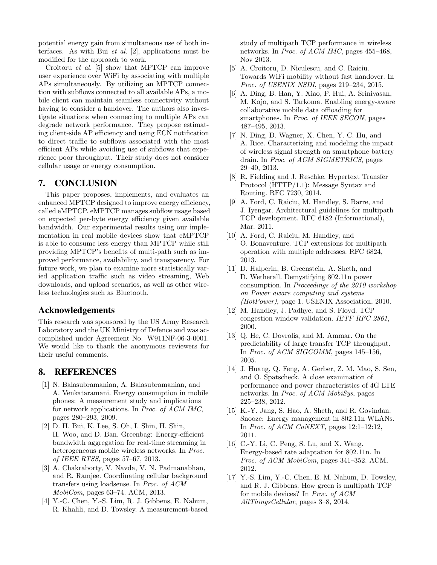potential energy gain from simultaneous use of both interfaces. As with Bui *et al.* [2], applications must be modified for the approach to work.

Croitoru *et al.* [5] show that MPTCP can improve user experience over WiFi by associating with multiple APs simultaneously. By utilizing an MPTCP connection with subflows connected to all available APs, a mobile client can maintain seamless connectivity without having to consider a handover. The authors also investigate situations when connecting to multiple APs can degrade network performance. They propose estimating client-side AP efficiency and using ECN notification to direct traffic to subflows associated with the most efficient APs while avoiding use of subflows that experience poor throughput. Their study does not consider cellular usage or energy consumption.

## 7. CONCLUSION

This paper proposes, implements, and evaluates an enhanced MPTCP designed to improve energy efficiency, called eMPTCP. eMPTCP manages subflow usage based on expected per-byte energy efficiency given available bandwidth. Our experimental results using our implementation in real mobile devices show that eMPTCP is able to consume less energy than MPTCP while still providing MPTCP's benefits of multi-path such as improved performance, availability, and transparency. For future work, we plan to examine more statistically varied application traffic such as video streaming, Web downloads, and upload scenarios, as well as other wireless technologies such as Bluetooth.

## Acknowledgements

This research was sponsored by the US Army Research Laboratory and the UK Ministry of Defence and was accomplished under Agreement No. W911NF-06-3-0001. We would like to thank the anonymous reviewers for their useful comments.

## 8. REFERENCES

- [1] N. Balasubramanian, A. Balasubramanian, and A. Venkataramani. Energy consumption in mobile phones: A measurement study and implications for network applications. In *Proc. of ACM IMC*, pages 280–293, 2009.
- [2] D. H. Bui, K. Lee, S. Oh, I. Shin, H. Shin, H. Woo, and D. Ban. Greenbag: Energy-efficient bandwidth aggregation for real-time streaming in heterogeneous mobile wireless networks. In *Proc. of IEEE RTSS*, pages 57–67, 2013.
- [3] A. Chakraborty, V. Navda, V. N. Padmanabhan, and R. Ramjee. Coordinating cellular background transfers using loadsense. In *Proc. of ACM MobiCom*, pages 63–74. ACM, 2013.
- [4] Y.-C. Chen, Y.-S. Lim, R. J. Gibbens, E. Nahum, R. Khalili, and D. Towsley. A measurement-based

study of multipath TCP performance in wireless networks. In *Proc. of ACM IMC*, pages 455–468, Nov 2013.

- [5] A. Croitoru, D. Niculescu, and C. Raiciu. Towards WiFi mobility without fast handover. In *Proc. of USENIX NSDI*, pages 219–234, 2015.
- [6] A. Ding, B. Han, Y. Xiao, P. Hui, A. Srinivasan, M. Kojo, and S. Tarkoma. Enabling energy-aware collaborative mobile data offloading for smartphones. In *Proc. of IEEE SECON*, pages 487–495, 2013.
- [7] N. Ding, D. Wagner, X. Chen, Y. C. Hu, and A. Rice. Characterizing and modeling the impact of wireless signal strength on smartphone battery drain. In *Proc. of ACM SIGMETRICS*, pages 29–40, 2013.
- [8] R. Fielding and J. Reschke. Hypertext Transfer Protocol (HTTP/1.1): Message Syntax and Routing. RFC 7230, 2014.
- [9] A. Ford, C. Raiciu, M. Handley, S. Barre, and J. Iyengar. Architectural guidelines for multipath TCP development. RFC 6182 (Informational), Mar. 2011.
- [10] A. Ford, C. Raiciu, M. Handley, and O. Bonaventure. TCP extensions for multipath operation with multiple addresses. RFC 6824, 2013.
- [11] D. Halperin, B. Greenstein, A. Sheth, and D. Wetherall. Demystifying 802.11n power consumption. In *Proceedings of the 2010 workshop on Power aware computing and systems (HotPower)*, page 1. USENIX Association, 2010.
- [12] M. Handley, J. Padhye, and S. Floyd. TCP congestion window validation. *IETF RFC 2861*, 2000.
- [13] Q. He, C. Dovrolis, and M. Ammar. On the predictability of large transfer TCP throughput. In *Proc. of ACM SIGCOMM*, pages 145–156, 2005.
- [14] J. Huang, Q. Feng, A. Gerber, Z. M. Mao, S. Sen, and O. Spatscheck. A close examination of performance and power characteristics of 4G LTE networks. In *Proc. of ACM MobiSys*, pages 225–238, 2012.
- [15] K.-Y. Jang, S. Hao, A. Sheth, and R. Govindan. Snooze: Energy management in 802.11n WLANs. In *Proc. of ACM CoNEXT*, pages 12:1–12:12, 2011.
- [16] C.-Y. Li, C. Peng, S. Lu, and X. Wang. Energy-based rate adaptation for 802.11n. In *Proc. of ACM MobiCom*, pages 341–352. ACM, 2012.
- [17] Y.-S. Lim, Y.-C. Chen, E. M. Nahum, D. Towsley, and R. J. Gibbens. How green is multipath TCP for mobile devices? In *Proc. of ACM AllThingsCellular*, pages 3–8, 2014.